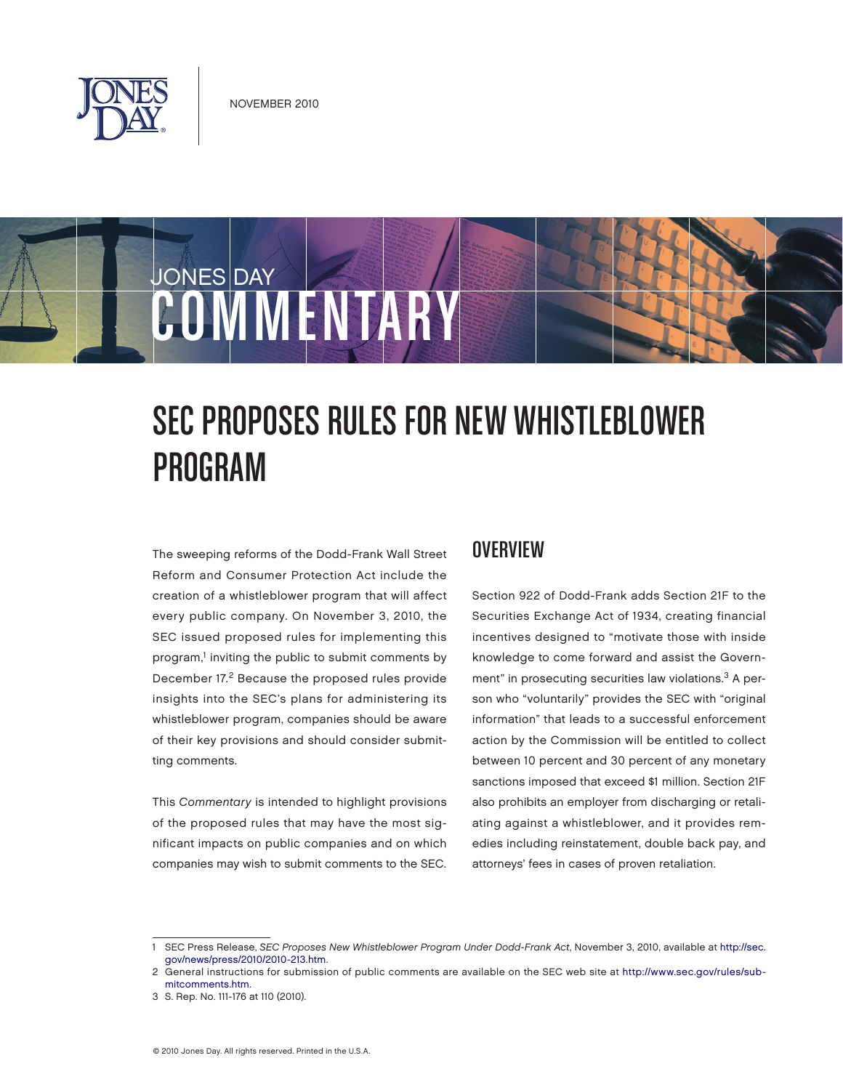

# JONES DAY COMMENTARY

# SEC PROPOSES RULES FOR NEW WHISTLEBLOWER Program

The sweeping reforms of the Dodd‑Frank Wall Street Reform and Consumer Protection Act include the creation of a whistleblower program that will affect every public company. On November 3, 2010, the SEC issued proposed rules for implementing this program,<sup>1</sup> inviting the public to submit comments by December 17.2 Because the proposed rules provide insights into the SEC's plans for administering its whistleblower program, companies should be aware of their key provisions and should consider submitting comments.

This Commentary is intended to highlight provisions of the proposed rules that may have the most significant impacts on public companies and on which companies may wish to submit comments to the SEC.

#### **OVERVIEW**

Section 922 of Dodd-Frank adds Section 21F to the Securities Exchange Act of 1934, creating financial incentives designed to "motivate those with inside knowledge to come forward and assist the Government" in prosecuting securities law violations.<sup>3</sup> A person who "voluntarily" provides the SEC with "original information" that leads to a successful enforcement action by the Commission will be entitled to collect between 10 percent and 30 percent of any monetary sanctions imposed that exceed \$1 million. Section 21F also prohibits an employer from discharging or retaliating against a whistleblower, and it provides remedies including reinstatement, double back pay, and attorneys' fees in cases of proven retaliation.

<sup>1</sup> SEC Press Release, SEC Proposes New Whistleblower Program Under Dodd-Frank Act, November 3, 2010, available at [http://sec.](http://sec.gov/news/press/2010/2010-213.htm) [gov/news/press/2010/2010-213.htm.](http://sec.gov/news/press/2010/2010-213.htm)

<sup>2</sup> [General instructions for submission of public comments are available on the SEC web site at](http://www.sec.gov/rules/submitcomments.htm) [http://www.sec.gov/rules](http://www.sec.gov/rules/sub%E2%80%91mitcomments.htm)[/sub‑](http://www.sec.gov/rules/submitcomments.htm) mitcomments[.htm.](http://www.sec.gov/rules/sub%E2%80%91mitcomments.htm)

<sup>3</sup> S. Rep. No. 111-176 at 110 (2010).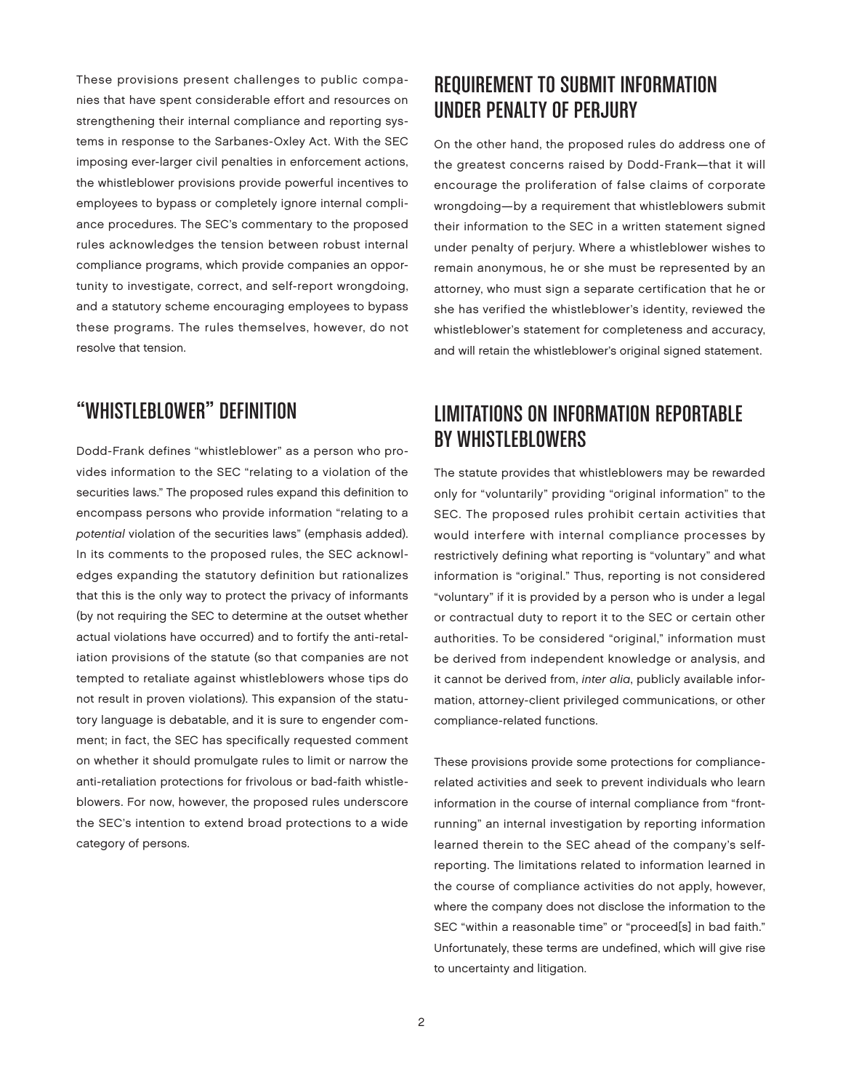These provisions present challenges to public companies that have spent considerable effort and resources on strengthening their internal compliance and reporting systems in response to the Sarbanes‑Oxley Act. With the SEC imposing ever-larger civil penalties in enforcement actions, the whistleblower provisions provide powerful incentives to employees to bypass or completely ignore internal compliance procedures. The SEC's commentary to the proposed rules acknowledges the tension between robust internal compliance programs, which provide companies an opportunity to investigate, correct, and self-report wrongdoing, and a statutory scheme encouraging employees to bypass these programs. The rules themselves, however, do not resolve that tension.

# "Whistleblower" Definition

Dodd-Frank defines "whistleblower" as a person who provides information to the SEC "relating to a violation of the securities laws." The proposed rules expand this definition to encompass persons who provide information "relating to a potential violation of the securities laws" (emphasis added). In its comments to the proposed rules, the SEC acknowledges expanding the statutory definition but rationalizes that this is the only way to protect the privacy of informants (by not requiring the SEC to determine at the outset whether actual violations have occurred) and to fortify the anti-retaliation provisions of the statute (so that companies are not tempted to retaliate against whistleblowers whose tips do not result in proven violations). This expansion of the statutory language is debatable, and it is sure to engender comment; in fact, the SEC has specifically requested comment on whether it should promulgate rules to limit or narrow the anti-retaliation protections for frivolous or bad-faith whistleblowers. For now, however, the proposed rules underscore the SEC's intention to extend broad protections to a wide category of persons.

# Requirement to Submit Information under Penalty of Perjury

On the other hand, the proposed rules do address one of the greatest concerns raised by Dodd-Frank—that it will encourage the proliferation of false claims of corporate wrongdoing—by a requirement that whistleblowers submit their information to the SEC in a written statement signed under penalty of perjury. Where a whistleblower wishes to remain anonymous, he or she must be represented by an attorney, who must sign a separate certification that he or she has verified the whistleblower's identity, reviewed the whistleblower's statement for completeness and accuracy, and will retain the whistleblower's original signed statement.

# **LIMITATIONS ON INFORMATION REPORTABLE** by Whistleblowers

The statute provides that whistleblowers may be rewarded only for "voluntarily" providing "original information" to the SEC. The proposed rules prohibit certain activities that would interfere with internal compliance processes by restrictively defining what reporting is "voluntary" and what information is "original." Thus, reporting is not considered "voluntary" if it is provided by a person who is under a legal or contractual duty to report it to the SEC or certain other authorities. To be considered "original," information must be derived from independent knowledge or analysis, and it cannot be derived from, inter alia, publicly available information, attorney-client privileged communications, or other compliance-related functions.

These provisions provide some protections for compliancerelated activities and seek to prevent individuals who learn information in the course of internal compliance from "frontrunning" an internal investigation by reporting information learned therein to the SEC ahead of the company's selfreporting. The limitations related to information learned in the course of compliance activities do not apply, however, where the company does not disclose the information to the SEC "within a reasonable time" or "proceed[s] in bad faith." Unfortunately, these terms are undefined, which will give rise to uncertainty and litigation.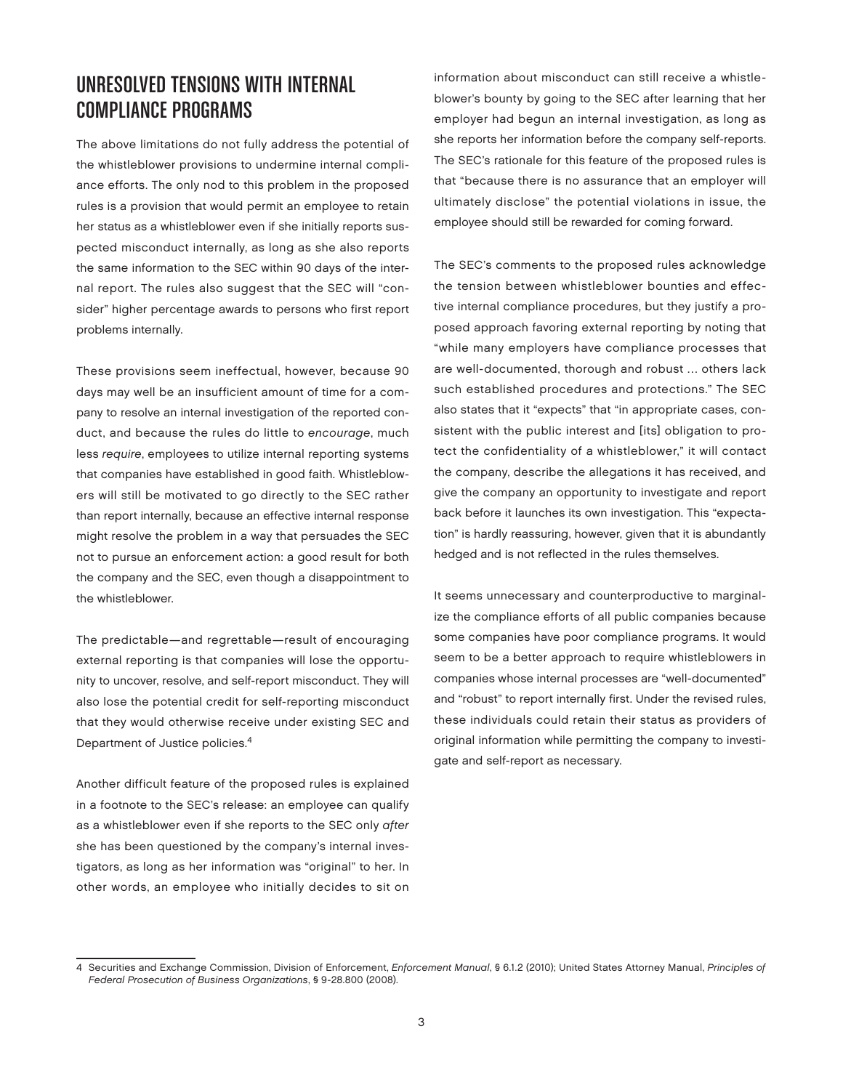#### Unresolved Tensions with Internal Compliance Programs

The above limitations do not fully address the potential of the whistleblower provisions to undermine internal compliance efforts. The only nod to this problem in the proposed rules is a provision that would permit an employee to retain her status as a whistleblower even if she initially reports suspected misconduct internally, as long as she also reports the same information to the SEC within 90 days of the internal report. The rules also suggest that the SEC will "consider" higher percentage awards to persons who first report problems internally.

These provisions seem ineffectual, however, because 90 days may well be an insufficient amount of time for a company to resolve an internal investigation of the reported conduct, and because the rules do little to encourage, much less require, employees to utilize internal reporting systems that companies have established in good faith. Whistleblowers will still be motivated to go directly to the SEC rather than report internally, because an effective internal response might resolve the problem in a way that persuades the SEC not to pursue an enforcement action: a good result for both the company and the SEC, even though a disappointment to the whistleblower.

The predictable—and regrettable—result of encouraging external reporting is that companies will lose the opportunity to uncover, resolve, and self-report misconduct. They will also lose the potential credit for self-reporting misconduct that they would otherwise receive under existing SEC and Department of Justice policies.4

Another difficult feature of the proposed rules is explained in a footnote to the SEC's release: an employee can qualify as a whistleblower even if she reports to the SEC only after she has been questioned by the company's internal investigators, as long as her information was "original" to her. In other words, an employee who initially decides to sit on information about misconduct can still receive a whistleblower's bounty by going to the SEC after learning that her employer had begun an internal investigation, as long as she reports her information before the company self-reports. The SEC's rationale for this feature of the proposed rules is that "because there is no assurance that an employer will ultimately disclose" the potential violations in issue, the employee should still be rewarded for coming forward.

The SEC's comments to the proposed rules acknowledge the tension between whistleblower bounties and effective internal compliance procedures, but they justify a proposed approach favoring external reporting by noting that "while many employers have compliance processes that are well-documented, thorough and robust … others lack such established procedures and protections." The SEC also states that it "expects" that "in appropriate cases, consistent with the public interest and [its] obligation to protect the confidentiality of a whistleblower," it will contact the company, describe the allegations it has received, and give the company an opportunity to investigate and report back before it launches its own investigation. This "expectation" is hardly reassuring, however, given that it is abundantly hedged and is not reflected in the rules themselves.

It seems unnecessary and counterproductive to marginalize the compliance efforts of all public companies because some companies have poor compliance programs. It would seem to be a better approach to require whistleblowers in companies whose internal processes are "well-documented" and "robust" to report internally first. Under the revised rules, these individuals could retain their status as providers of original information while permitting the company to investigate and self-report as necessary.

<sup>4</sup> Securities and Exchange Commission, Division of Enforcement, Enforcement Manual, § 6.1.2 (2010); United States Attorney Manual, Principles of Federal Prosecution of Business Organizations, § 9-28.800 (2008).